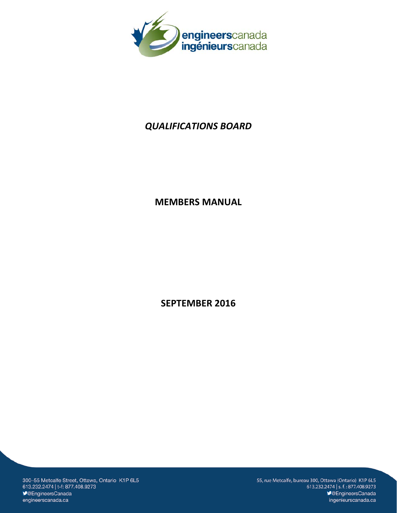

# *QUALIFICATIONS BOARD*

# **MEMBERS MANUAL**

**SEPTEMBER 2016**

300-55 Metcalfe Street, Ottawa, Ontario K1P 6L5 613.232.2474 | t-f: 877.408.9273 **V@EngineersCanada** engineerscanada.ca

55, rue Metcalfe, bureau 300, Ottawa (Ontario) K1P 6L5 613.232.2474 | s.f.: 877.408.9273 SengineersCanada ingenieurscanada.ca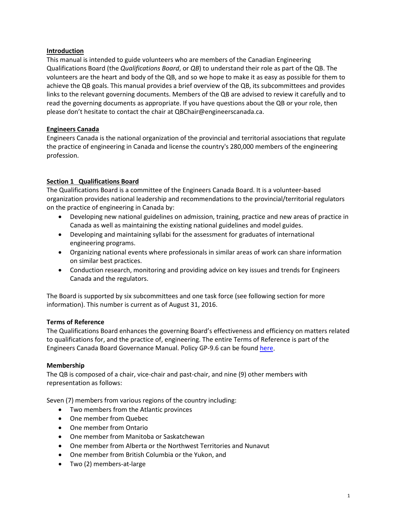## **Introduction**

This manual is intended to guide volunteers who are members of the Canadian Engineering Qualifications Board (the *Qualifications Board*, or *QB*) to understand their role as part of the QB. The volunteers are the heart and body of the QB, and so we hope to make it as easy as possible for them to achieve the QB goals. This manual provides a brief overview of the QB, its subcommittees and provides links to the relevant governing documents. Members of the QB are advised to review it carefully and to read the governing documents as appropriate. If you have questions about the QB or your role, then please don't hesitate to contact the chair at QBChair@engineerscanada.ca.

# **Engineers Canada**

Engineers Canada is the national organization of the provincial and territorial associations that regulate the practice of engineering in Canada and license the country's 280,000 members of the engineering profession.

# **Section 1 Qualifications Board**

The Qualifications Board is a committee of the Engineers Canada Board. It is a volunteer-based organization provides national leadership and recommendations to the provincial/territorial regulators on the practice of engineering in Canada by:

- Developing new national guidelines on admission, training, practice and new areas of practice in Canada as well as maintaining the existing national guidelines and model guides.
- Developing and maintaining syllabi for the assessment for graduates of international engineering programs.
- Organizing national events where professionals in similar areas of work can share information on similar best practices.
- Conduction research, monitoring and providing advice on key issues and trends for Engineers Canada and the regulators.

The Board is supported by six subcommittees and one task force (see following section for more information). This number is current as of August 31, 2016.

## **Terms of Reference**

The Qualifications Board enhances the governing Board's effectiveness and efficiency on matters related to qualifications for, and the practice of, engineering. The entire Terms of Reference is part of the Engineers Canada Board Governance Manual. Policy GP-9.6 can be found [here.](https://www.engineerscanada.ca/sites/default/files/goverancemanual/GP-9-6-Qualifications-Board-ToR.pdf)

## **Membership**

The QB is composed of a chair, vice-chair and past-chair, and nine (9) other members with representation as follows:

Seven (7) members from various regions of the country including:

- Two members from the Atlantic provinces
- One member from Quebec
- One member from Ontario
- One member from Manitoba or Saskatchewan
- One member from Alberta or the Northwest Territories and Nunavut
- One member from British Columbia or the Yukon, and
- Two (2) members-at-large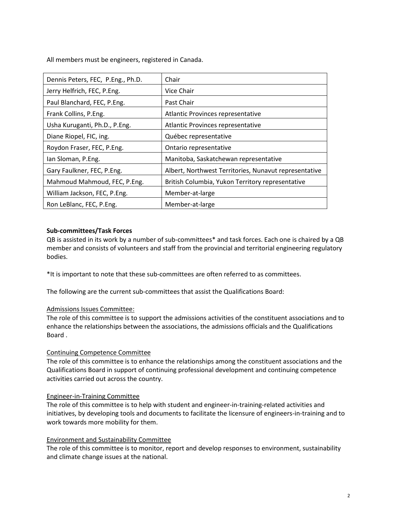All members must be engineers, registered in Canada.

| Dennis Peters, FEC, P.Eng., Ph.D. | Chair                                                 |
|-----------------------------------|-------------------------------------------------------|
| Jerry Helfrich, FEC, P.Eng.       | Vice Chair                                            |
| Paul Blanchard, FEC, P.Eng.       | Past Chair                                            |
| Frank Collins, P.Eng.             | Atlantic Provinces representative                     |
| Usha Kuruganti, Ph.D., P.Eng.     | Atlantic Provinces representative                     |
| Diane Riopel, FIC, ing.           | Québec representative                                 |
| Roydon Fraser, FEC, P.Eng.        | Ontario representative                                |
| Ian Sloman, P.Eng.                | Manitoba, Saskatchewan representative                 |
| Gary Faulkner, FEC, P.Eng.        | Albert, Northwest Territories, Nunavut representative |
| Mahmoud Mahmoud, FEC, P.Eng.      | British Columbia, Yukon Territory representative      |
| William Jackson, FEC, P.Eng.      | Member-at-large                                       |
| Ron LeBlanc, FEC, P.Eng.          | Member-at-large                                       |

# **Sub-committees/Task Forces**

QB is assisted in its work by a number of sub-committees\* and task forces. Each one is chaired by a QB member and consists of volunteers and staff from the provincial and territorial engineering regulatory bodies.

\*It is important to note that these sub-committees are often referred to as committees.

The following are the current sub-committees that assist the Qualifications Board:

## Admissions Issues Committee:

The role of this committee is to support the admissions activities of the constituent associations and to enhance the relationships between the associations, the admissions officials and the Qualifications Board .

#### Continuing Competence Committee

The role of this committee is to enhance the relationships among the constituent associations and the Qualifications Board in support of continuing professional development and continuing competence activities carried out across the country.

#### Engineer-in-Training Committee

The role of this committee is to help with student and engineer-in-training-related activities and initiatives, by developing tools and documents to facilitate the licensure of engineers-in-training and to work towards more mobility for them.

## Environment and Sustainability Committee

The role of this committee is to monitor, report and develop responses to environment, sustainability and climate change issues at the national.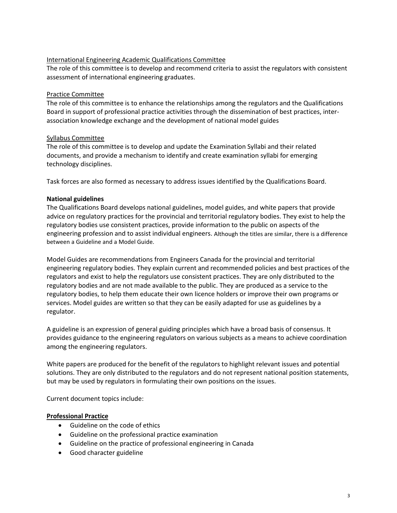## International Engineering Academic Qualifications Committee

The role of this committee is to develop and recommend criteria to assist the regulators with consistent assessment of international engineering graduates.

# Practice Committee

The role of this committee is to enhance the relationships among the regulators and the Qualifications Board in support of professional practice activities through the dissemination of best practices, interassociation knowledge exchange and the development of national model guides

# Syllabus Committee

The role of this committee is to develop and update the Examination Syllabi and their related documents, and provide a mechanism to identify and create examination syllabi for emerging technology disciplines.

Task forces are also formed as necessary to address issues identified by the Qualifications Board.

# **National guidelines**

The Qualifications Board develops national guidelines, model guides, and white papers that provide advice on regulatory practices for the provincial and territorial regulatory bodies. They exist to help the regulatory bodies use consistent practices, provide information to the public on aspects of the engineering profession and to assist individual engineers. Although the titles are similar, there is a difference between a Guideline and a Model Guide.

Model Guides are recommendations from Engineers Canada for the provincial and territorial engineering regulatory bodies. They explain current and recommended policies and best practices of the regulators and exist to help the regulators use consistent practices. They are only distributed to the regulatory bodies and are not made available to the public. They are produced as a service to the regulatory bodies, to help them educate their own licence holders or improve their own programs or services. Model guides are written so that they can be easily adapted for use as guidelines by a regulator.

A guideline is an expression of general guiding principles which have a broad basis of consensus. It provides guidance to the engineering regulators on various subjects as a means to achieve coordination among the engineering regulators.

White papers are produced for the benefit of the regulators to highlight relevant issues and potential solutions. They are only distributed to the regulators and do not represent national position statements, but may be used by regulators in formulating their own positions on the issues.

Current document topics include:

# **Professional Practice**

- Guideline on the code of ethics
- Guideline on the professional practice examination
- Guideline on the practice of professional engineering in Canada
- Good character guideline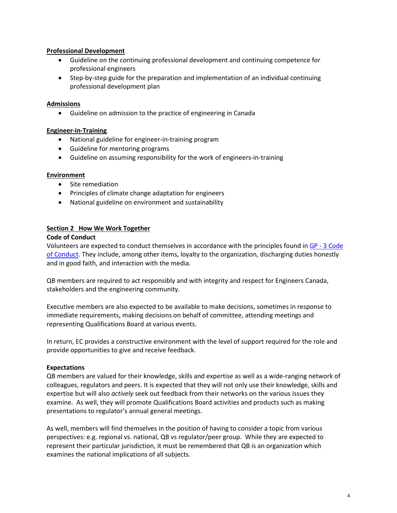## **Professional Development**

- Guideline on the continuing professional development and continuing competence for professional engineers
- Step-by-step guide for the preparation and implementation of an individual continuing professional development plan

#### **Admissions**

• Guideline on admission to the practice of engineering in Canada

#### **Engineer-in-Training**

- National guideline for engineer-in-training program
- Guideline for mentoring programs
- Guideline on assuming responsibility for the work of engineers-in-training

#### **Environment**

- Site remediation
- Principles of climate change adaptation for engineers
- National guideline on environment and sustainability

#### **Section 2 How We Work Together**

#### **Code of Conduct**

Volunteers are expected to conduct themselves in accordance with the principles found in GP - [3 Code](https://www.engineerscanada.ca/sites/default/files/goverancemanual/GP-3-Code-of-Conduct.pdf) [of Conduct.](https://www.engineerscanada.ca/sites/default/files/goverancemanual/GP-3-Code-of-Conduct.pdf) They include, among other items, loyalty to the organization, discharging duties honestly and in good faith, and interaction with the media.

QB members are required to act responsibly and with integrity and respect for Engineers Canada, stakeholders and the engineering community.

Executive members are also expected to be available to make decisions, sometimes in response to immediate requirements, making decisions on behalf of committee, attending meetings and representing Qualifications Board at various events.

In return, EC provides a constructive environment with the level of support required for the role and provide opportunities to give and receive feedback.

#### **Expectations**

QB members are valued for their knowledge, skills and expertise as well as a wide-ranging network of colleagues, regulators and peers. It is expected that they will not only use their knowledge, skills and expertise but will also *actively* seek out feedback from their networks on the various issues they examine. As well, they will promote Qualifications Board activities and products such as making presentations to regulator's annual general meetings.

As well, members will find themselves in the position of having to consider a topic from various perspectives: e.g. regional vs. national, QB vs regulator/peer group. While they are expected to represent their particular jurisdiction, it must be remembered that QB is an organization which examines the national implications of all subjects.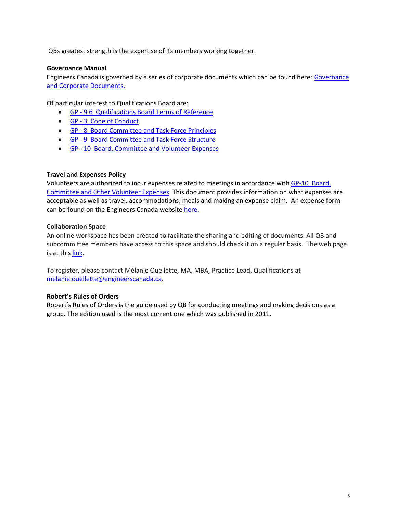QBs greatest strength is the expertise of its members working together.

## **Governance Manual**

Engineers Canada is governed by a series of corporate documents which can be found here: Governance [and Corporate Documents.](https://www.engineerscanada.ca/about/governance-and-corporate-documents)

Of particular interest to Qualifications Board are:

- GP [9.6 Qualifications Board Terms of Reference](https://www.engineerscanada.ca/sites/default/files/goverancemanual/GP-9-6-Qualifications-Board-ToR.pdf)
- GP [3 Code of Conduct](https://www.engineerscanada.ca/sites/default/files/goverancemanual/GP-3-Code-of-Conduct.pdf)
- GP [8 Board Committee and Task Force Principles](https://www.engineerscanada.ca/sites/default/files/goverancemanual/GP-8-Board-Committee-and-Task-Force-Principles.pdf)
- GP [9 Board Committee and Task Force Structure](https://www.engineerscanada.ca/sites/default/files/goverancemanual/gp-9-board-committee-and-task-force-structure.pdf)
- GP [10 Board, Committee and Volunteer Expenses](https://www.engineerscanada.ca/sites/default/files/goverancemanual/gp-10-board-committee-and-other-volunteer-expenses.pdf)

# **Travel and Expenses Policy**

Volunteers are authorized to incur expenses related to meetings in accordance with [GP-10 Board,](https://www.engineerscanada.ca/sites/default/files/goverancemanual/gp-10-board-committee-and-other-volunteer-expenses.pdf)  [Committee and Other Volunteer Expenses.](https://www.engineerscanada.ca/sites/default/files/goverancemanual/gp-10-board-committee-and-other-volunteer-expenses.pdf) This document provides information on what expenses are acceptable as well as travel, accommodations, meals and making an expense claim. An expense form can be found on the Engineers Canada website [here.](https://www.engineerscanada.ca/expense-claim-policy)

## **Collaboration Space**

An online workspace has been created to facilitate the sharing and editing of documents. All QB and subcommittee members have access to this space and should check it on a regular basis. The web page is at thi[s link.](https://collaborate.engineerscanada.ca/workspaces/871341/signin)

To register, please contact Mélanie Ouellette, MA, MBA, Practice Lead, Qualifications at [melanie.ouellette@engineerscanada.ca.](mailto:melanie.ouellette@engineerscanada.ca)

## **Robert's Rules of Orders**

Robert's Rules of Orders is the guide used by QB for conducting meetings and making decisions as a group. The edition used is the most current one which was published in 2011.